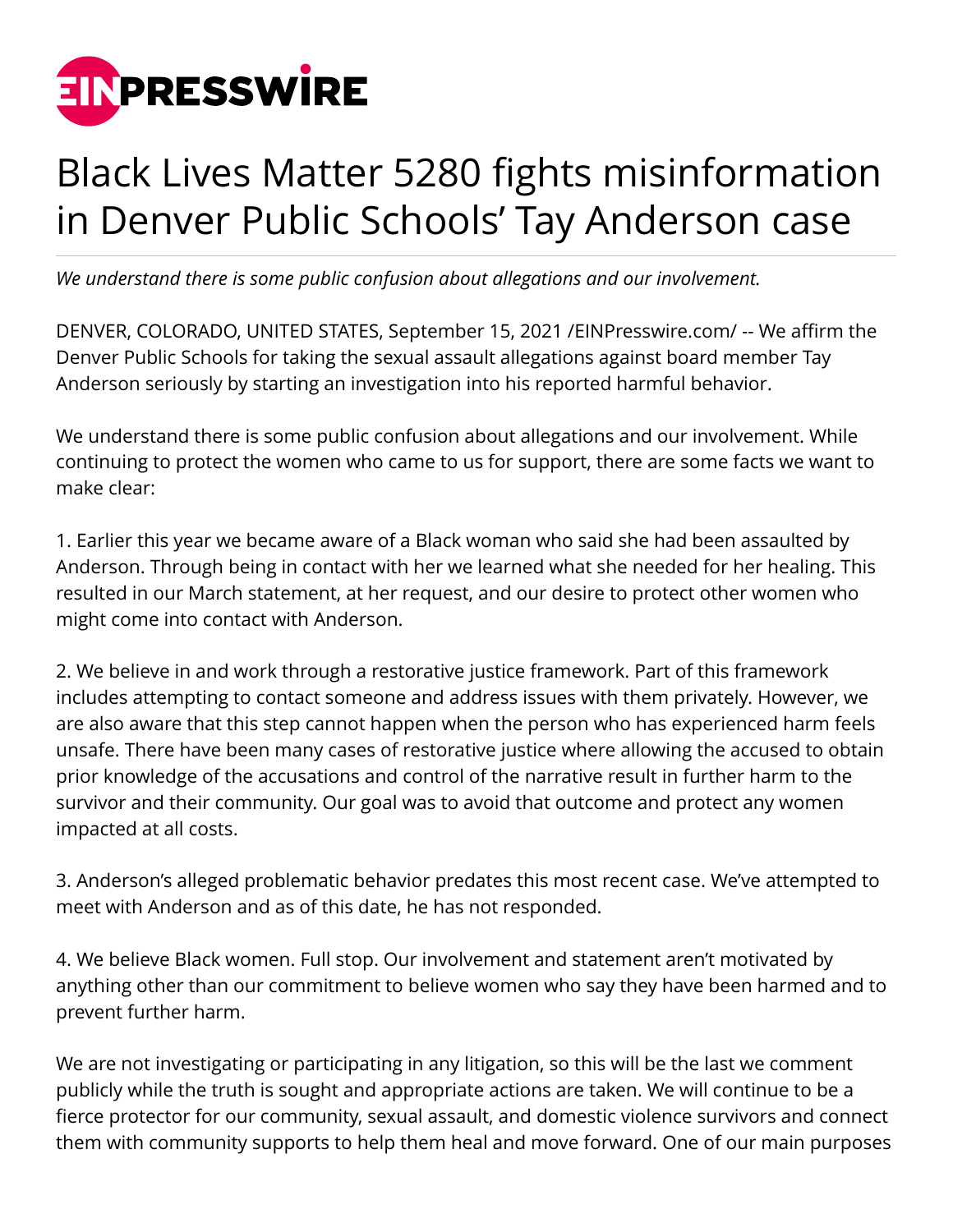

## Black Lives Matter 5280 fights misinformation in Denver Public Schools' Tay Anderson case

*We understand there is some public confusion about allegations and our involvement.*

DENVER, COLORADO, UNITED STATES, September 15, 2021 [/EINPresswire.com](http://www.einpresswire.com)/ -- We affirm the Denver Public Schools for taking the sexual assault allegations against board member Tay Anderson seriously by starting an investigation into his reported harmful behavior.

We understand there is some public confusion about allegations and our involvement. While continuing to protect the women who came to us for support, there are some facts we want to make clear:

1. Earlier this year we became aware of a Black woman who said she had been assaulted by Anderson. Through being in contact with her we learned what she needed for her healing. This resulted in our March statement, at her request, and our desire to protect other women who might come into contact with Anderson.

2. We believe in and work through a restorative justice framework. Part of this framework includes attempting to contact someone and address issues with them privately. However, we are also aware that this step cannot happen when the person who has experienced harm feels unsafe. There have been many cases of restorative justice where allowing the accused to obtain prior knowledge of the accusations and control of the narrative result in further harm to the survivor and their community. Our goal was to avoid that outcome and protect any women impacted at all costs.

3. Anderson's alleged problematic behavior predates this most recent case. We've attempted to meet with Anderson and as of this date, he has not responded.

4. We believe Black women. Full stop. Our involvement and statement aren't motivated by anything other than our commitment to believe women who say they have been harmed and to prevent further harm.

We are not investigating or participating in any litigation, so this will be the last we comment publicly while the truth is sought and appropriate actions are taken. We will continue to be a fierce protector for our community, sexual assault, and domestic violence survivors and connect them with community supports to help them heal and move forward. One of our main purposes